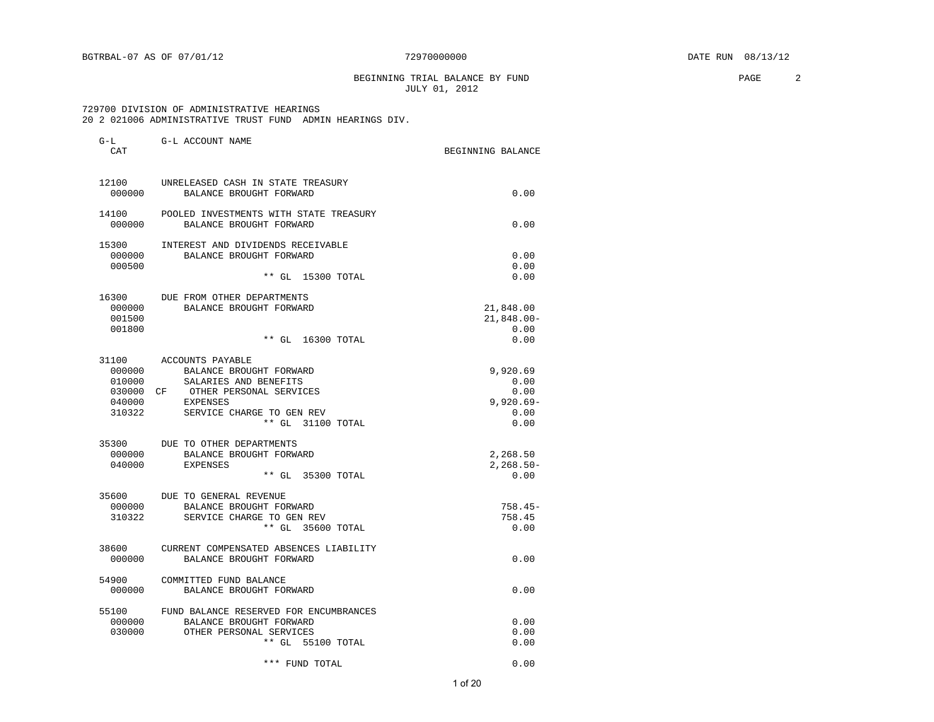BEGINNING TRIAL BALANCE BY FUND **PAGE** 2 JULY 01, 2012

#### 729700 DIVISION OF ADMINISTRATIVE HEARINGS 20 2 021006 ADMINISTRATIVE TRUST FUND ADMIN HEARINGS DIV.

| $G-L$<br>CAT                                      | G-L ACCOUNT NAME                                                                                                                                                    | BEGINNING BALANCE                                        |
|---------------------------------------------------|---------------------------------------------------------------------------------------------------------------------------------------------------------------------|----------------------------------------------------------|
| 000000                                            | 12100 UNRELEASED CASH IN STATE TREASURY<br>BALANCE BROUGHT FORWARD                                                                                                  | 0.00                                                     |
| 14100<br>000000                                   | POOLED INVESTMENTS WITH STATE TREASURY<br>BALANCE BROUGHT FORWARD                                                                                                   | 0.00                                                     |
| 15300<br>000000                                   | INTEREST AND DIVIDENDS RECEIVABLE<br>BALANCE BROUGHT FORWARD                                                                                                        | 0.00                                                     |
| 000500                                            | ** GL 15300 TOTAL                                                                                                                                                   | 0.00<br>0.00                                             |
| 000000<br>001500<br>001800                        | 16300 DUE FROM OTHER DEPARTMENTS<br>BALANCE BROUGHT FORWARD<br>** GL 16300 TOTAL                                                                                    | 21,848.00<br>$21,848.00 -$<br>0.00<br>0.00               |
| 000000<br>010000<br>030000 CF<br>040000<br>310322 | 31100 ACCOUNTS PAYABLE<br>BALANCE BROUGHT FORWARD<br>SALARIES AND BENEFITS<br>OTHER PERSONAL SERVICES<br>EXPENSES<br>SERVICE CHARGE TO GEN REV<br>** GL 31100 TOTAL | 9,920.69<br>0.00<br>0.00<br>$9,920.69 -$<br>0.00<br>0.00 |
| 000000<br>040000                                  | 35300 DUE TO OTHER DEPARTMENTS<br>BALANCE BROUGHT FORWARD<br>EXPENSES<br>** GL 35300 TOTAL                                                                          | 2,268.50<br>$2, 268.50 -$<br>0.00                        |
| 000000<br>310322                                  | 35600 DUE TO GENERAL REVENUE<br>BALANCE BROUGHT FORWARD<br>SERVICE CHARGE TO GEN REV<br>** GL 35600 TOTAL                                                           | $758.45-$<br>758.45<br>0.00                              |
| 38600<br>000000                                   | CURRENT COMPENSATED ABSENCES LIABILITY<br>BALANCE BROUGHT FORWARD                                                                                                   | 0.00                                                     |
| 54900<br>000000                                   | COMMITTED FUND BALANCE<br>BALANCE BROUGHT FORWARD                                                                                                                   | 0.00                                                     |
| 55100<br>000000<br>030000                         | FUND BALANCE RESERVED FOR ENCUMBRANCES<br>BALANCE BROUGHT FORWARD<br>OTHER PERSONAL SERVICES<br>** GL 55100 TOTAL                                                   | 0.00<br>0.00<br>0.00                                     |
|                                                   | *** FUND TOTAL                                                                                                                                                      | 0.00                                                     |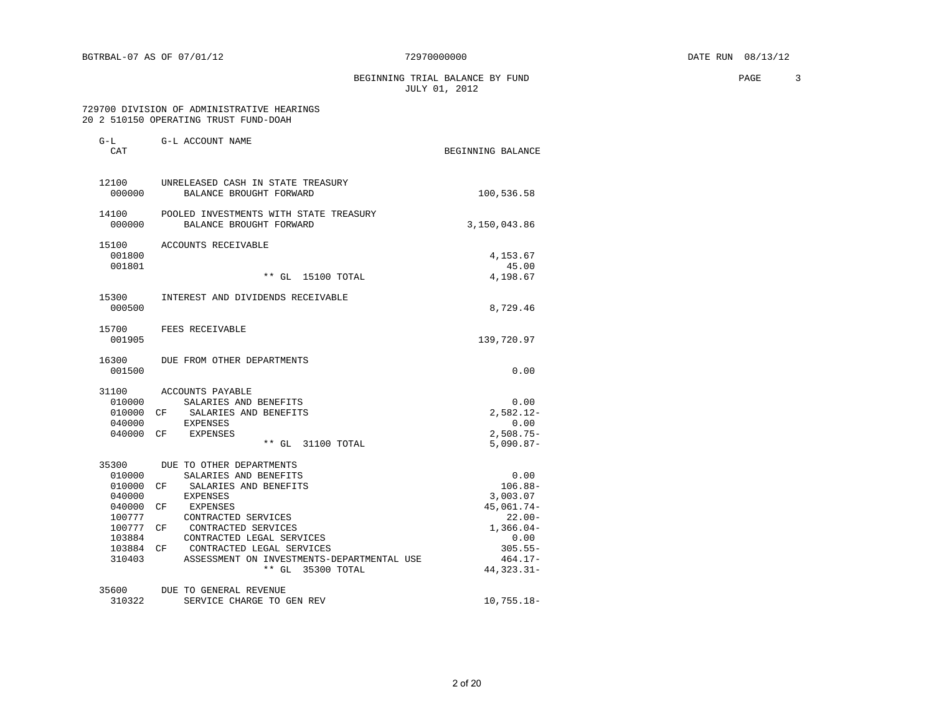BEGINNING TRIAL BALANCE BY FUND **PAGE** 3 JULY 01, 2012

#### 729700 DIVISION OF ADMINISTRATIVE HEARINGS 20 2 510150 OPERATING TRUST FUND-DOAH

| $G-L$<br>CAT        | G-L ACCOUNT NAME                                                        | BEGINNING BALANCE       |
|---------------------|-------------------------------------------------------------------------|-------------------------|
| 12100<br>000000     | UNRELEASED CASH IN STATE TREASURY<br>BALANCE BROUGHT FORWARD            | 100,536.58              |
| 000000              | 14100 POOLED INVESTMENTS WITH STATE TREASURY<br>BALANCE BROUGHT FORWARD | 3,150,043.86            |
| 15100<br>001800     | ACCOUNTS RECEIVABLE                                                     | 4,153.67                |
| 001801              | ** GL 15100 TOTAL                                                       | 45.00<br>4,198.67       |
| 15300<br>000500     | INTEREST AND DIVIDENDS RECEIVABLE                                       | 8,729.46                |
| 15700<br>001905     | FEES RECEIVABLE                                                         | 139,720.97              |
| 16300<br>001500     | DUE FROM OTHER DEPARTMENTS                                              | 0.00                    |
| 31100               | ACCOUNTS PAYABLE                                                        |                         |
| 010000<br>010000 CF | SALARIES AND BENEFITS                                                   | 0.00<br>$2,582.12-$     |
| 040000              | SALARIES AND BENEFITS<br><b>EXPENSES</b>                                | 0.00                    |
| 040000 CF           | <b>EXPENSES</b>                                                         | $2,508.75-$             |
|                     | ** GL 31100 TOTAL                                                       | $5,090.87-$             |
| 35300               | DUE TO OTHER DEPARTMENTS                                                |                         |
| 010000              | SALARIES AND BENEFITS                                                   | 0.00                    |
| 010000              | SALARIES AND BENEFITS<br>CF <sup></sup>                                 | $106.88 -$              |
| 040000              | EXPENSES                                                                | 3,003.07                |
| 040000<br>100777    | CF <sup></sup><br>EXPENSES<br>CONTRACTED SERVICES                       | 45,061.74-<br>$22.00 -$ |
| 100777 CF           | CONTRACTED SERVICES                                                     | $1,366.04-$             |
| 103884              | CONTRACTED LEGAL SERVICES                                               | 0.00                    |
| 103884 CF           | CONTRACTED LEGAL SERVICES                                               | $305.55 -$              |
| 310403              | ASSESSMENT ON INVESTMENTS-DEPARTMENTAL USE                              | $464.17-$               |
|                     | ** GL 35300 TOTAL                                                       | 44, 323.31-             |
| 35600               | DUE TO GENERAL REVENUE                                                  |                         |
| 310322              | SERVICE CHARGE TO GEN REV                                               | $10,755.18-$            |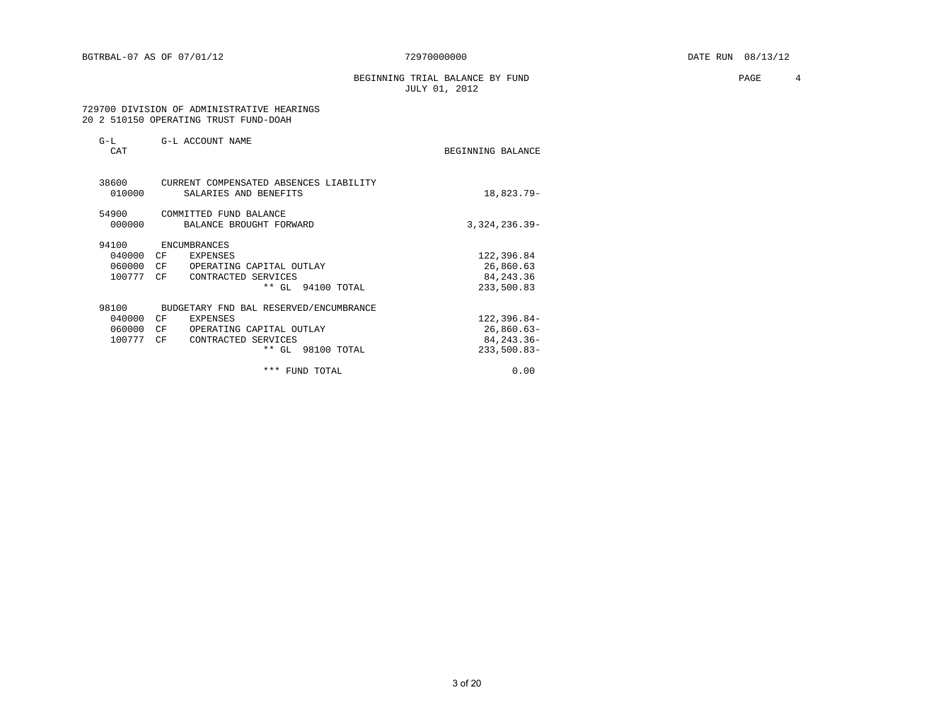BEGINNING TRIAL BALANCE BY FUND **PAGE** 4 JULY 01, 2012

#### 729700 DIVISION OF ADMINISTRATIVE HEARINGS 20 2 510150 OPERATING TRUST FUND-DOAH

| $G-L$<br>CAT    | G-L ACCOUNT NAME                                                | BEGINNING BALANCE |
|-----------------|-----------------------------------------------------------------|-------------------|
| 38600<br>010000 | CURRENT COMPENSATED ABSENCES LIABILITY<br>SALARIES AND BENEFITS | 18,823.79-        |
| 54900<br>000000 | COMMITTED FUND BALANCE<br>BALANCE BROUGHT FORWARD               | $3,324,236.39-$   |
| 94100           | ENCUMBRANCES                                                    |                   |
| 040000          | CF <sup></sup><br>EXPENSES                                      | 122,396.84        |
| 060000          | CF<br>OPERATING CAPITAL OUTLAY                                  | 26,860.63         |
| 100777          | CF<br>CONTRACTED SERVICES                                       | 84, 243. 36       |
|                 | ** GL 94100 TOTAL                                               | 233,500.83        |
| 98100           | BUDGETARY FND BAL RESERVED/ENCUMBRANCE                          |                   |
| 040000          | CF<br>EXPENSES                                                  | $122, 396.84 -$   |
| 060000          | CF<br>OPERATING CAPITAL OUTLAY                                  | $26,860.63-$      |
| 100777          | CF<br>CONTRACTED SERVICES                                       | 84, 243. 36-      |
|                 | ** GL 98100 TOTAL                                               | $233,500.83-$     |
|                 | *** FUND TOTAL                                                  | 0.00              |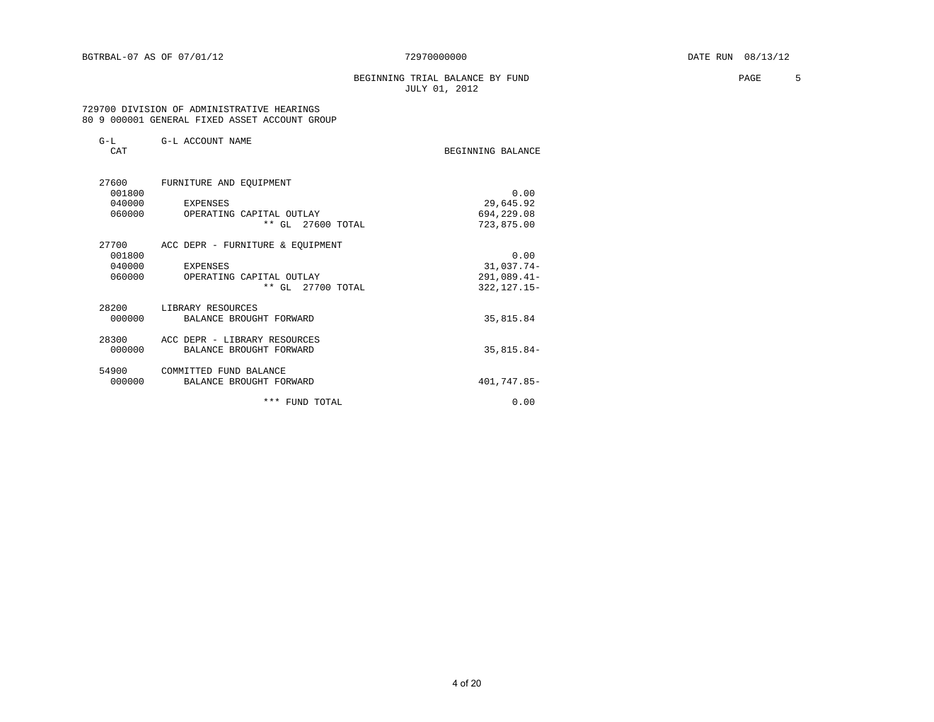#### BEGINNING TRIAL BALANCE BY FUND **PAGE** 5 JULY 01, 2012

#### 729700 DIVISION OF ADMINISTRATIVE HEARINGS 80 9 000001 GENERAL FIXED ASSET ACCOUNT GROUP

| $G-L$<br>CAT | G-L ACCOUNT NAME                 | BEGINNING BALANCE |
|--------------|----------------------------------|-------------------|
| 27600        | FURNITURE AND EQUIPMENT          |                   |
| 001800       |                                  | 0.00              |
| 040000       | EXPENSES                         | 29,645.92         |
| 060000       | OPERATING CAPITAL OUTLAY         | 694,229.08        |
|              | ** GL 27600 TOTAL                | 723,875.00        |
| 27700        | ACC DEPR - FURNITURE & EQUIPMENT |                   |
| 001800       |                                  | 0.00              |
| 040000       | EXPENSES                         | 31,037.74-        |
| 060000       | OPERATING CAPITAL OUTLAY         | $291,089.41-$     |
|              | ** GL 27700 TOTAL                | $322, 127.15 -$   |
| 28200        | LIBRARY RESOURCES                |                   |
| 000000       | BALANCE BROUGHT FORWARD          | 35,815.84         |
| 28300        | ACC DEPR - LIBRARY RESOURCES     |                   |
| 000000       | BALANCE BROUGHT FORWARD          | $35,815.84-$      |
| 54900        | COMMITTED FUND BALANCE           |                   |
| 000000       | BALANCE BROUGHT FORWARD          | 401,747.85-       |
|              | *** FUND TOTAL                   | 0.00              |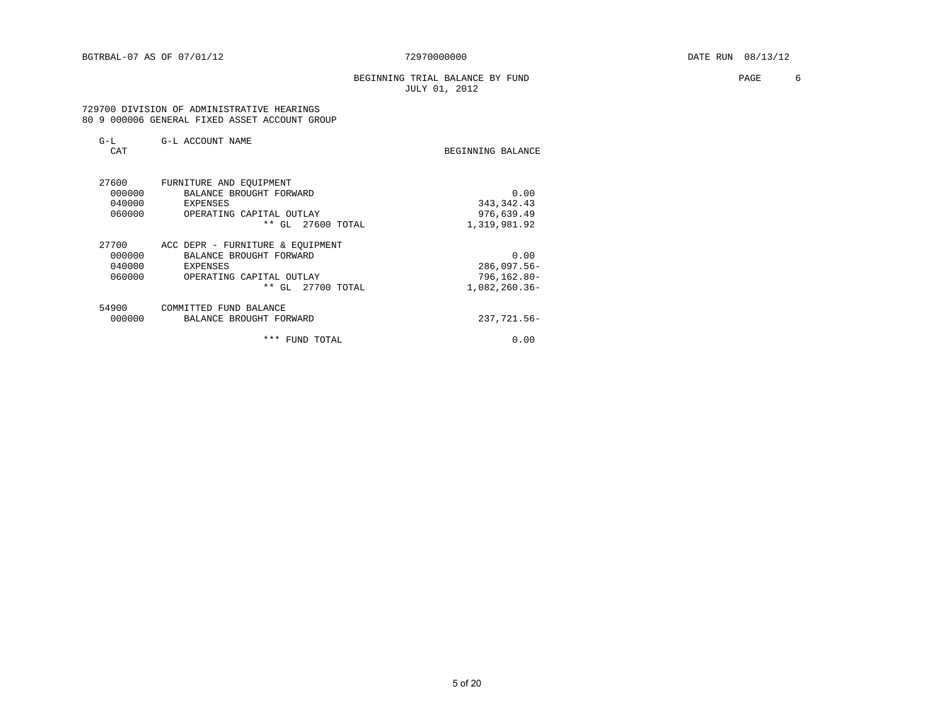#### BEGINNING TRIAL BALANCE BY FUND **EXAMPLE 1999** PAGE 6 JULY 01, 2012

#### 729700 DIVISION OF ADMINISTRATIVE HEARINGS 80 9 000006 GENERAL FIXED ASSET ACCOUNT GROUP

| G-L<br>CAT | G-L ACCOUNT NAME                 | BEGINNING BALANCE |
|------------|----------------------------------|-------------------|
|            |                                  |                   |
| 27600      | FURNITURE AND EOUIPMENT          |                   |
| 000000     | BALANCE BROUGHT FORWARD          | 0.00              |
| 040000     | EXPENSES                         | 343, 342. 43      |
| 060000     | OPERATING CAPITAL OUTLAY         | 976,639.49        |
|            | ** GL<br>27600 TOTAL             | 1,319,981.92      |
| 27700      | ACC DEPR - FURNITURE & EOUIPMENT |                   |
| 000000     | BALANCE BROUGHT FORWARD          | 0.00              |
| 040000     | EXPENSES                         | $286,097.56-$     |
| 060000     | OPERATING CAPITAL OUTLAY         | $796, 162.80 -$   |
|            | ** GL<br>27700 TOTAL             | $1,082,260.36-$   |
| 54900      | COMMITTED FUND BALANCE           |                   |
| 000000     | BALANCE BROUGHT FORWARD          | 237,721.56-       |
|            | ***<br>FUND TOTAL                | 0.00              |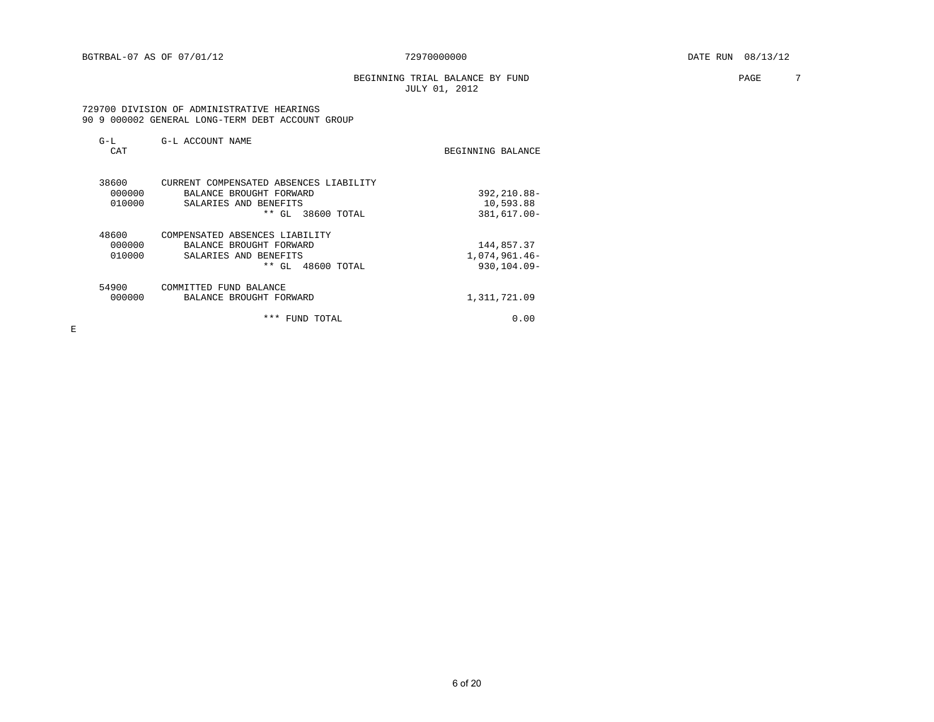#### BEGINNING TRIAL BALANCE BY FUND **PAGE** 7 JULY 01, 2012

#### 729700 DIVISION OF ADMINISTRATIVE HEARINGS 90 9 000002 GENERAL LONG-TERM DEBT ACCOUNT GROUP

| $G-L$<br>CAT | G-L ACCOUNT NAME                       | BEGINNING BALANCE |
|--------------|----------------------------------------|-------------------|
| 38600        | CURRENT COMPENSATED ABSENCES LIABILITY |                   |
| 000000       | BALANCE BROUGHT FORWARD                | 392,210.88-       |
| 010000       | SALARIES AND BENEFITS                  | 10,593.88         |
|              | $***$<br>38600 TOTAL<br>GL.            | 381,617.00-       |
| 48600        | COMPENSATED ABSENCES LIABILITY         |                   |
| 000000       | BALANCE BROUGHT FORWARD                | 144,857.37        |
| 010000       | SALARIES AND BENEFITS                  | 1,074,961.46-     |
|              | ** GL 48600 TOTAL                      | $930.104.09 -$    |
| 54900        | COMMITTED FUND BALANCE                 |                   |
| 000000       | BALANCE BROUGHT FORWARD                | 1,311,721.09      |
|              | ***<br>FUND TOTAL                      | 0.00              |

E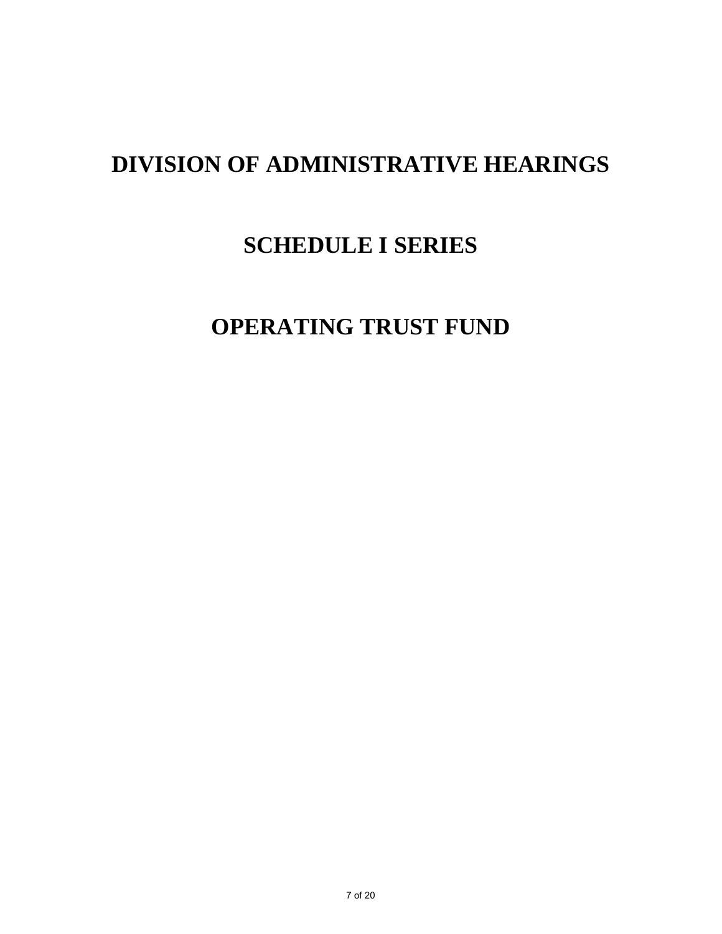# **DIVISION OF ADMINISTRATIVE HEARINGS**

## **SCHEDULE I SERIES**

## **OPERATING TRUST FUND**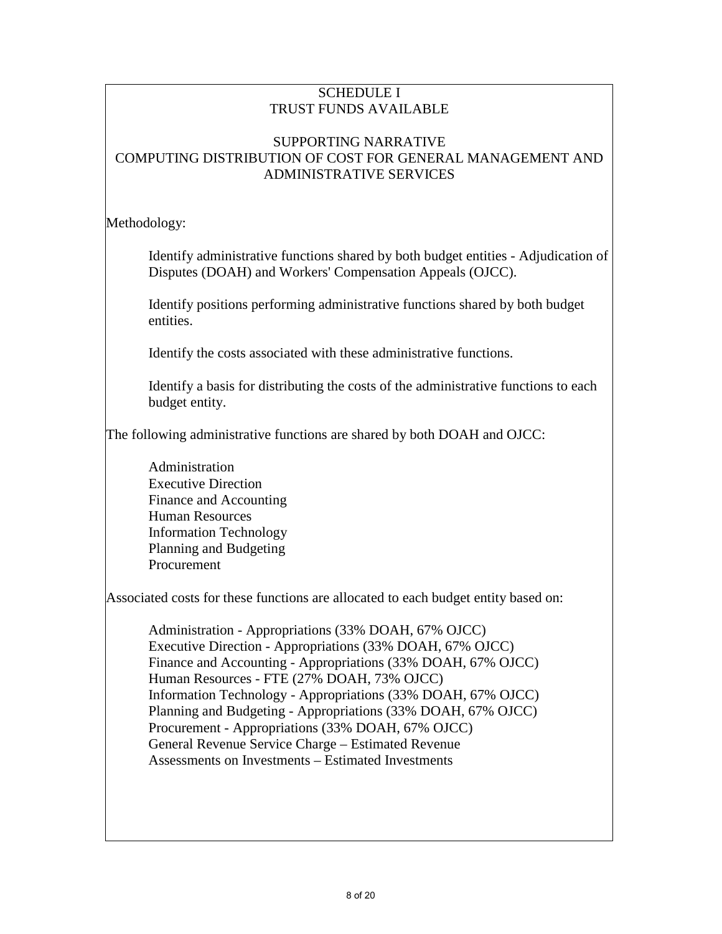## SUPPORTING NARRATIVE COMPUTING DISTRIBUTION OF COST FOR GENERAL MANAGEMENT AND ADMINISTRATIVE SERVICES

Methodology:

Identify administrative functions shared by both budget entities - Adjudication of Disputes (DOAH) and Workers' Compensation Appeals (OJCC).

Identify positions performing administrative functions shared by both budget entities.

Identify the costs associated with these administrative functions.

Identify a basis for distributing the costs of the administrative functions to each budget entity.

The following administrative functions are shared by both DOAH and OJCC:

 Administration Executive Direction Finance and Accounting Human Resources Information Technology Planning and Budgeting Procurement

Associated costs for these functions are allocated to each budget entity based on:

 Administration - Appropriations (33% DOAH, 67% OJCC) Executive Direction - Appropriations (33% DOAH, 67% OJCC) Finance and Accounting - Appropriations (33% DOAH, 67% OJCC) Human Resources - FTE (27% DOAH, 73% OJCC) Information Technology - Appropriations (33% DOAH, 67% OJCC) Planning and Budgeting - Appropriations (33% DOAH, 67% OJCC) Procurement - Appropriations (33% DOAH, 67% OJCC) General Revenue Service Charge – Estimated Revenue Assessments on Investments – Estimated Investments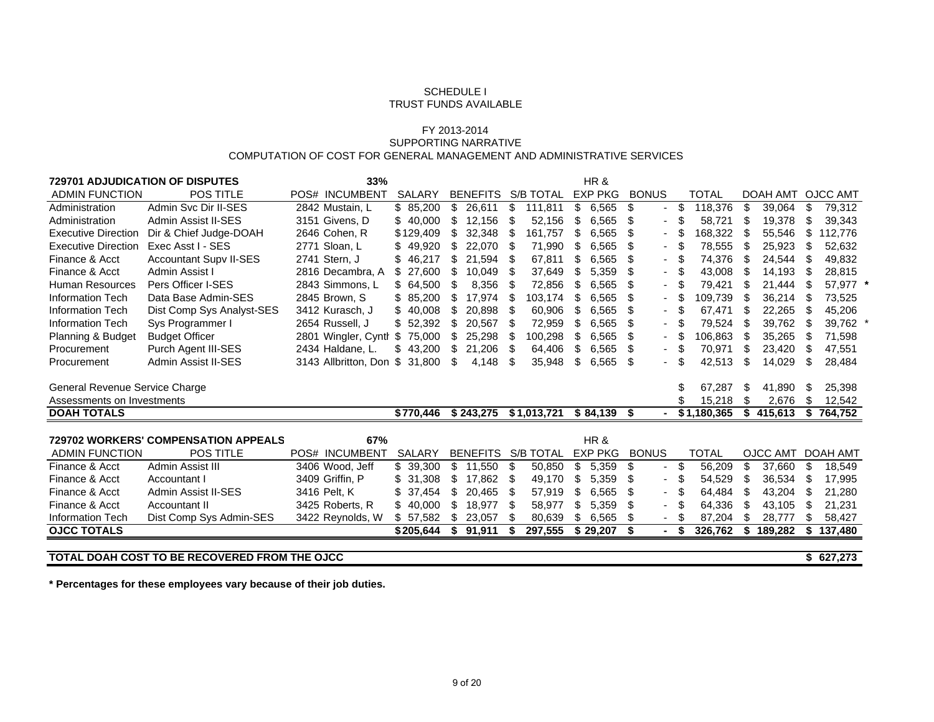#### FY 2013-2014 SUPPORTING NARRATIVECOMPUTATION OF COST FOR GENERAL MANAGEMENT AND ADMINISTRATIVE SERVICES

| <b>729701 ADJUDICATION OF DISPUTES</b><br>33%<br>HR&       |                                             |                      |               |                        |                    |                |                                |                    |                 |                   |
|------------------------------------------------------------|---------------------------------------------|----------------------|---------------|------------------------|--------------------|----------------|--------------------------------|--------------------|-----------------|-------------------|
| <b>ADMIN FUNCTION</b>                                      | POS TITLE                                   | POS# INCUMBENT       | <b>SALARY</b> | <b>BENEFITS</b>        | <b>S/B TOTAL</b>   | <b>EXP PKG</b> | <b>BONUS</b>                   | TOTAL              |                 | DOAH AMT OJCC AMT |
| Administration                                             | Admin Svc Dir II-SES                        | 2842 Mustain, L      | \$85.200      | $\mathbb{S}$<br>26,611 | \$<br>111,811      | \$<br>6,565    | \$<br>$\overline{\phantom{a}}$ | 118.376<br>\$      | \$<br>39,064    | 79,312<br>\$      |
| Administration                                             | Admin Assist II-SES                         | 3151 Givens, D       | \$40,000      | \$<br>12,156           | 52,156<br>\$.      | 6,565<br>S     | S                              | 58,721<br>\$.      | 19,378<br>- \$  | \$<br>39,343      |
| <b>Executive Direction</b>                                 | Dir & Chief Judge-DOAH                      | 2646 Cohen, R        | \$129,409     | 32,348<br>\$           | 161,757<br>-SS     | \$<br>6,565    | S<br>$\sim$                    | 168,322            | 55,546          | 112,776<br>\$     |
| Executive Direction Exec Asst I - SES                      |                                             | 2771 Sloan, L.       | 49,920<br>\$  | 22,070<br>\$           | 71,990<br>- \$     | 6,565<br>\$.   | S<br>۰.                        | 78,555<br>- \$     | 25,923<br>- \$  | 52,632<br>\$      |
| Finance & Acct                                             | <b>Accountant Supy II-SES</b>               | 2741 Stern, J        | 46,217        | \$<br>21,594           | 67,811<br>- 35     | 6,565          | S                              | 74,376             | 24,544<br>- \$  | 49,832            |
| Finance & Acct                                             | Admin Assist I                              | 2816 Decambra, A     | 27,600<br>\$  | \$<br>10,049           | 37,649<br>- 5      | 5,359          | \$.                            | 43,008<br>- \$     | 14,193<br>- 5   | 28,815<br>\$.     |
| <b>Human Resources</b>                                     | Pers Officer I-SES                          | 2843 Simmons, L      | \$64,500      | 8,356<br>\$.           | 72,856             | 6,565          | \$.<br>$\sim$                  | 79,421             | 21,444          | 57,977 *          |
| <b>Information Tech</b>                                    | Data Base Admin-SES                         | 2845 Brown, S        | \$85,200      | \$<br>17,974           | 103,174<br>\$.     | 6,565<br>\$.   | S<br>$\sim$                    | 109,739<br>- \$    | 36,214<br>- \$  | 73,525<br>\$.     |
| <b>Information Tech</b>                                    | Dist Comp Sys Analyst-SES                   | 3412 Kurasch, J      | 40,008<br>\$  | \$<br>20,898           | 60,906<br>- 35     | 6,565          | S<br>$\overline{\phantom{a}}$  | 67,471<br>-S       | 22,265<br>- \$  | 45,206<br>ß.      |
| Information Tech                                           | Sys Programmer I                            | 2654 Russell, J      | \$52,392      | \$<br>20,567           | 72,959<br>- 5      | 6,565<br>S.    | \$.                            | 79,524<br>- SS     | 39,762<br>- S   | 39,762<br>S       |
| Planning & Budget                                          | <b>Budget Officer</b>                       | 2801 Wingler, Cynth  | 75,000<br>S   | 25.298<br>S            | 100,298<br>S.      | 6,565          | S                              | 106,863            | 35,265          | 71,598            |
| Procurement                                                | Purch Agent III-SES                         | 2434 Haldane, L.     | \$<br>43,200  | 21,206<br>S            | 64,406<br>S        | 6,565<br>S     | S<br>$\overline{\phantom{a}}$  | 70,971<br>- \$     | 23,420<br>- \$  | 47,551<br>ß.      |
| Procurement                                                | Admin Assist II-SES                         | 3143 Allbritton, Don | \$<br>31,800  | \$<br>4,148            | 35,948<br>\$.      | 6,565<br>\$    | \$                             | \$.<br>42,513      | 14,029<br>\$.   | \$<br>28,484      |
|                                                            |                                             |                      |               |                        |                    |                |                                |                    |                 |                   |
| General Revenue Service Charge                             |                                             |                      |               |                        |                    |                |                                | 67,287             | 41,890<br>- \$  | 25,398<br>\$.     |
| Assessments on Investments                                 |                                             |                      |               |                        |                    |                |                                | 15,218             | \$.<br>2,676    | \$<br>12,542      |
| <b>DOAH TOTALS</b>                                         |                                             |                      | \$770,446     | \$243,275              | \$1,013,721        | \$84,139       | -S                             | \$1,180,365        | \$<br>415,613   | \$764,752         |
|                                                            | <b>729702 WORKERS' COMPENSATION APPEALS</b> | 67%                  |               |                        |                    | HR&            |                                |                    |                 |                   |
| <b>ADMIN FUNCTION</b>                                      | <b>POS TITLE</b>                            | POS# INCUMBENT       | <b>SALARY</b> |                        | BENEFITS S/B TOTAL | <b>EXP PKG</b> | <b>BONUS</b>                   | <b>TOTAL</b>       | <b>OJCC AMT</b> | <b>DOAH AMT</b>   |
| Finance & Acct                                             | Admin Assist III                            | 3406 Wood, Jeff      | \$39,300      | \$<br>11,550           | -\$<br>50,850      | \$<br>5,359    | \$<br>٠                        | 56,209<br>- \$     | £.<br>37,660    | \$<br>18,549      |
| Finance & Acct                                             | Accountant I                                | 3409 Griffin, P      | \$31,308      | 17,862<br>\$           | 49,170<br>- \$     | 5,359<br>\$    | S                              | 54,529<br>- \$     | 36,534<br>- \$  | 17,995<br>- \$    |
| Finance & Acct                                             | Admin Assist II-SES                         |                      |               | \$                     |                    |                |                                |                    | - \$            | £.                |
|                                                            |                                             | 3416 Pelt, K         | 37,454<br>\$. | 20,465                 | 57,919<br>- 35     | 6,565          | \$.<br>$\sim$                  | 64,484             | 43,204          | 21,280            |
| Finance & Acct                                             | Accountant II                               | 3425 Roberts, R      | 40,000<br>\$  | 18,977<br>\$           | 58,977<br>- 35     | 5,359<br>\$    | S                              | 64,336             | 43,105<br>-\$   | \$<br>21,231      |
| <b>Information Tech</b><br><b>OJCC TOTALS</b>              | Dist Comp Sys Admin-SES                     | 3422 Reynolds, W     | \$57,582      | \$<br>23,057           | 80,639             | 6,565<br>S     | S<br>$\sim$                    | 87,204<br>- \$     | - \$<br>28,777  | \$<br>58,427      |
|                                                            |                                             |                      | \$205.644     | \$91,911               | 297,555<br>S       | \$29,207       | \$                             | 326,762 \$<br>- \$ | 189,282         | \$<br>137,480     |
|                                                            |                                             |                      |               |                        |                    |                |                                |                    |                 |                   |
| TOTAL DOAH COST TO BE RECOVERED FROM THE OJCC<br>\$627,273 |                                             |                      |               |                        |                    |                |                                |                    |                 |                   |

**\* Percentages for these employees vary because of their job duties.**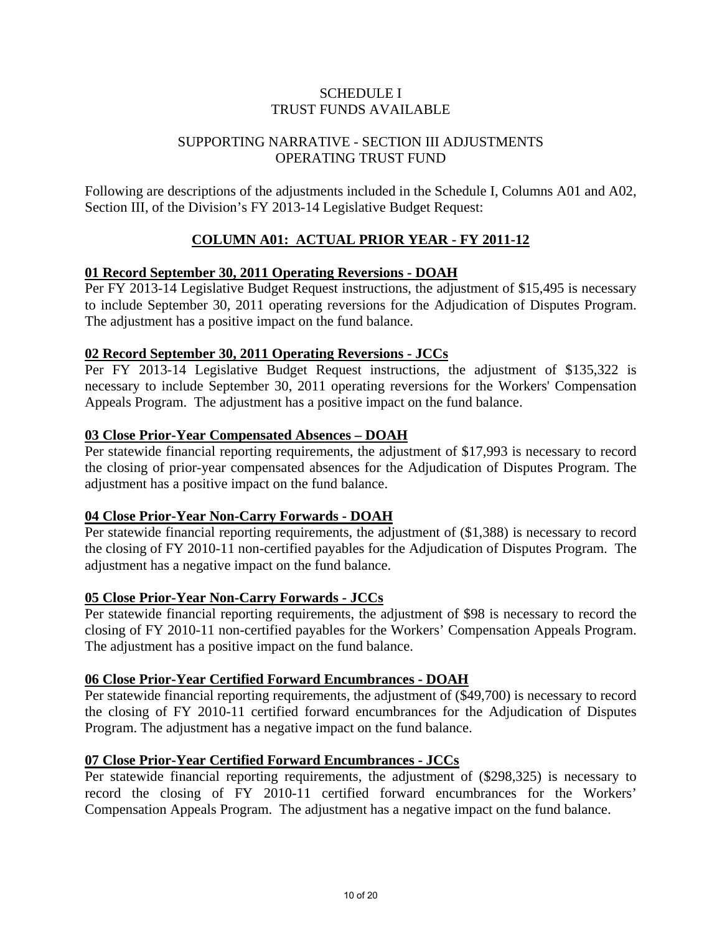#### SUPPORTING NARRATIVE - SECTION III ADJUSTMENTS OPERATING TRUST FUND

Following are descriptions of the adjustments included in the Schedule I, Columns A01 and A02, Section III, of the Division's FY 2013-14 Legislative Budget Request:

## **COLUMN A01: ACTUAL PRIOR YEAR - FY 2011-12**

#### **01 Record September 30, 2011 Operating Reversions - DOAH**

Per FY 2013-14 Legislative Budget Request instructions, the adjustment of \$15,495 is necessary to include September 30, 2011 operating reversions for the Adjudication of Disputes Program. The adjustment has a positive impact on the fund balance.

#### **02 Record September 30, 2011 Operating Reversions - JCCs**

Per FY 2013-14 Legislative Budget Request instructions, the adjustment of \$135,322 is necessary to include September 30, 2011 operating reversions for the Workers' Compensation Appeals Program. The adjustment has a positive impact on the fund balance.

#### **03 Close Prior-Year Compensated Absences – DOAH**

Per statewide financial reporting requirements, the adjustment of \$17,993 is necessary to record the closing of prior-year compensated absences for the Adjudication of Disputes Program. The adjustment has a positive impact on the fund balance.

#### **04 Close Prior-Year Non-Carry Forwards - DOAH**

Per statewide financial reporting requirements, the adjustment of (\$1,388) is necessary to record the closing of FY 2010-11 non-certified payables for the Adjudication of Disputes Program. The adjustment has a negative impact on the fund balance.

#### **05 Close Prior-Year Non-Carry Forwards - JCCs**

Per statewide financial reporting requirements, the adjustment of \$98 is necessary to record the closing of FY 2010-11 non-certified payables for the Workers' Compensation Appeals Program. The adjustment has a positive impact on the fund balance.

#### **06 Close Prior-Year Certified Forward Encumbrances - DOAH**

Per statewide financial reporting requirements, the adjustment of (\$49,700) is necessary to record the closing of FY 2010-11 certified forward encumbrances for the Adjudication of Disputes Program. The adjustment has a negative impact on the fund balance.

#### **07 Close Prior-Year Certified Forward Encumbrances - JCCs**

Per statewide financial reporting requirements, the adjustment of (\$298,325) is necessary to record the closing of FY 2010-11 certified forward encumbrances for the Workers' Compensation Appeals Program. The adjustment has a negative impact on the fund balance.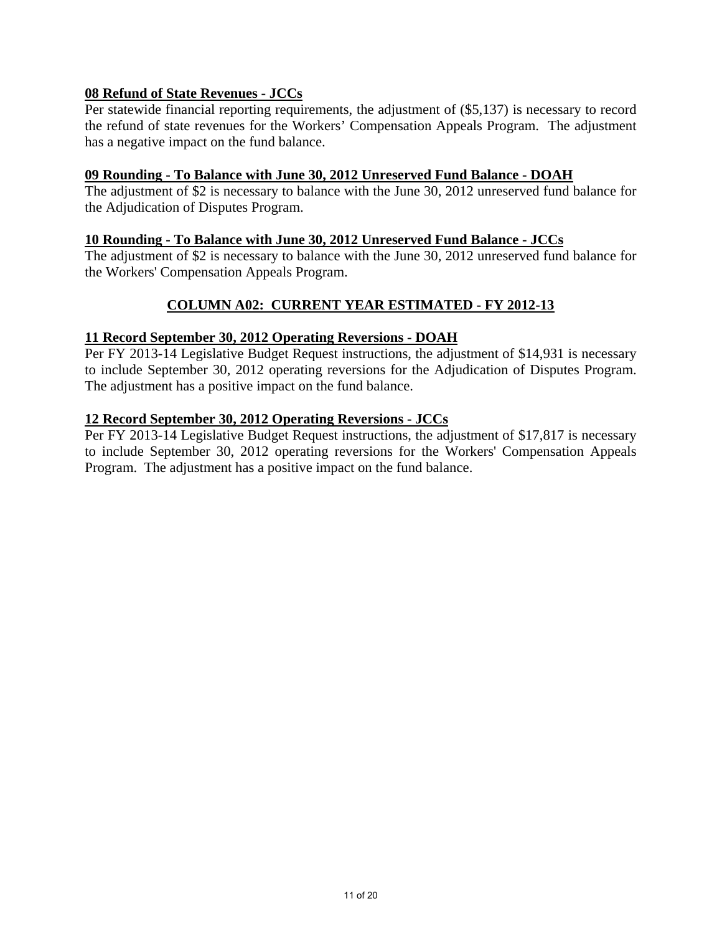## **08 Refund of State Revenues - JCCs**

Per statewide financial reporting requirements, the adjustment of (\$5,137) is necessary to record the refund of state revenues for the Workers' Compensation Appeals Program. The adjustment has a negative impact on the fund balance.

#### **09 Rounding - To Balance with June 30, 2012 Unreserved Fund Balance - DOAH**

The adjustment of \$2 is necessary to balance with the June 30, 2012 unreserved fund balance for the Adjudication of Disputes Program.

#### **10 Rounding - To Balance with June 30, 2012 Unreserved Fund Balance - JCCs**

The adjustment of \$2 is necessary to balance with the June 30, 2012 unreserved fund balance for the Workers' Compensation Appeals Program.

## **COLUMN A02: CURRENT YEAR ESTIMATED - FY 2012-13**

#### **11 Record September 30, 2012 Operating Reversions - DOAH**

Per FY 2013-14 Legislative Budget Request instructions, the adjustment of \$14,931 is necessary to include September 30, 2012 operating reversions for the Adjudication of Disputes Program. The adjustment has a positive impact on the fund balance.

#### **12 Record September 30, 2012 Operating Reversions - JCCs**

Per FY 2013-14 Legislative Budget Request instructions, the adjustment of \$17,817 is necessary to include September 30, 2012 operating reversions for the Workers' Compensation Appeals Program. The adjustment has a positive impact on the fund balance.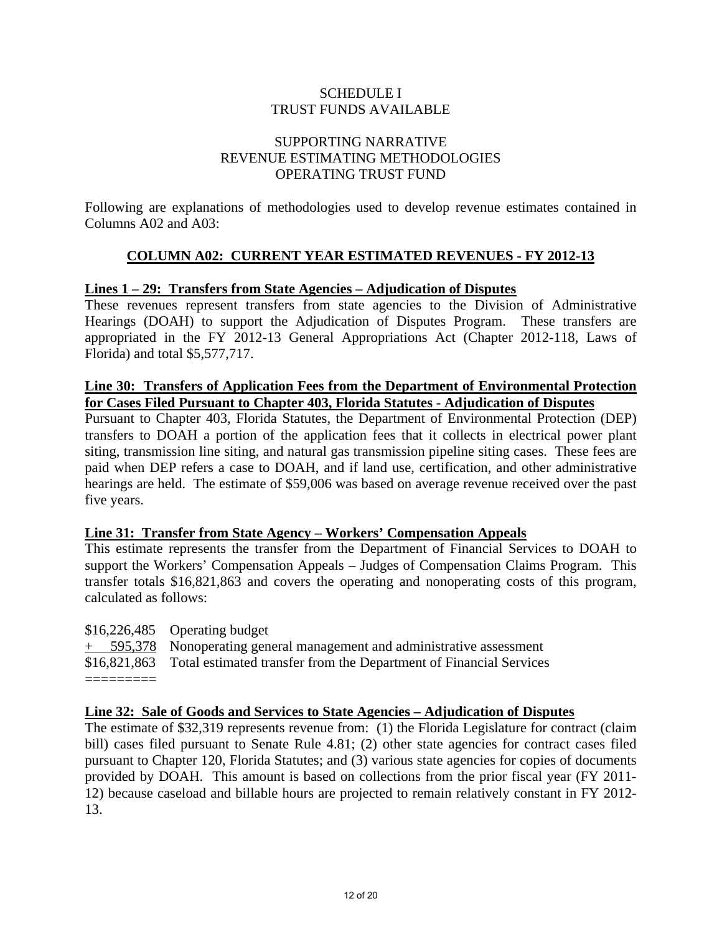## SUPPORTING NARRATIVE REVENUE ESTIMATING METHODOLOGIES OPERATING TRUST FUND

Following are explanations of methodologies used to develop revenue estimates contained in Columns A02 and A03:

## **COLUMN A02: CURRENT YEAR ESTIMATED REVENUES - FY 2012-13**

#### **Lines 1 – 29: Transfers from State Agencies – Adjudication of Disputes**

These revenues represent transfers from state agencies to the Division of Administrative Hearings (DOAH) to support the Adjudication of Disputes Program. These transfers are appropriated in the FY 2012-13 General Appropriations Act (Chapter 2012-118, Laws of Florida) and total \$5,577,717.

#### **Line 30: Transfers of Application Fees from the Department of Environmental Protection for Cases Filed Pursuant to Chapter 403, Florida Statutes - Adjudication of Disputes**

Pursuant to Chapter 403, Florida Statutes, the Department of Environmental Protection (DEP) transfers to DOAH a portion of the application fees that it collects in electrical power plant siting, transmission line siting, and natural gas transmission pipeline siting cases. These fees are paid when DEP refers a case to DOAH, and if land use, certification, and other administrative hearings are held. The estimate of \$59,006 was based on average revenue received over the past five years.

#### **Line 31: Transfer from State Agency – Workers' Compensation Appeals**

This estimate represents the transfer from the Department of Financial Services to DOAH to support the Workers' Compensation Appeals – Judges of Compensation Claims Program. This transfer totals \$16,821,863 and covers the operating and nonoperating costs of this program, calculated as follows:

| $$16,226,485$ Operating budget                                                  |
|---------------------------------------------------------------------------------|
| $+$ 595,378 Nonoperating general management and administrative assessment       |
| \$16,821,863 Total estimated transfer from the Department of Financial Services |
|                                                                                 |

#### **Line 32: Sale of Goods and Services to State Agencies – Adjudication of Disputes**

The estimate of \$32,319 represents revenue from: (1) the Florida Legislature for contract (claim bill) cases filed pursuant to Senate Rule 4.81; (2) other state agencies for contract cases filed pursuant to Chapter 120, Florida Statutes; and (3) various state agencies for copies of documents provided by DOAH. This amount is based on collections from the prior fiscal year (FY 2011- 12) because caseload and billable hours are projected to remain relatively constant in FY 2012- 13.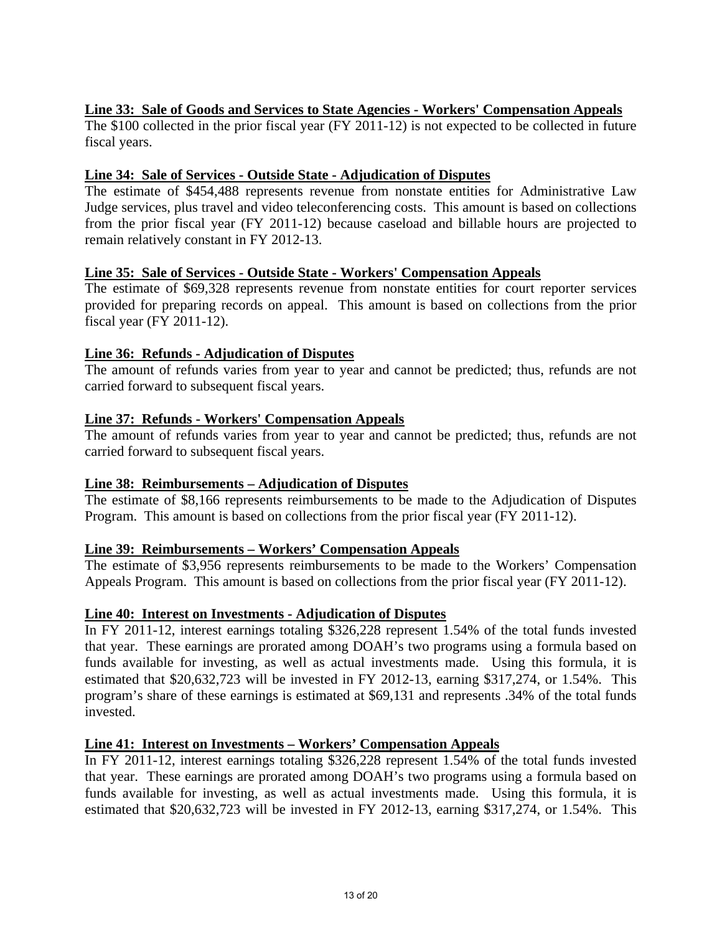## **Line 33: Sale of Goods and Services to State Agencies - Workers' Compensation Appeals**

The \$100 collected in the prior fiscal year (FY 2011-12) is not expected to be collected in future fiscal years.

#### **Line 34: Sale of Services - Outside State - Adjudication of Disputes**

The estimate of \$454,488 represents revenue from nonstate entities for Administrative Law Judge services, plus travel and video teleconferencing costs. This amount is based on collections from the prior fiscal year (FY 2011-12) because caseload and billable hours are projected to remain relatively constant in FY 2012-13.

#### **Line 35: Sale of Services - Outside State - Workers' Compensation Appeals**

The estimate of \$69,328 represents revenue from nonstate entities for court reporter services provided for preparing records on appeal. This amount is based on collections from the prior fiscal year (FY 2011-12).

#### **Line 36: Refunds - Adjudication of Disputes**

The amount of refunds varies from year to year and cannot be predicted; thus, refunds are not carried forward to subsequent fiscal years.

#### **Line 37: Refunds - Workers' Compensation Appeals**

The amount of refunds varies from year to year and cannot be predicted; thus, refunds are not carried forward to subsequent fiscal years.

#### **Line 38: Reimbursements – Adjudication of Disputes**

The estimate of \$8,166 represents reimbursements to be made to the Adjudication of Disputes Program. This amount is based on collections from the prior fiscal year (FY 2011-12).

#### **Line 39: Reimbursements – Workers' Compensation Appeals**

The estimate of \$3,956 represents reimbursements to be made to the Workers' Compensation Appeals Program. This amount is based on collections from the prior fiscal year (FY 2011-12).

#### **Line 40: Interest on Investments - Adjudication of Disputes**

In FY 2011-12, interest earnings totaling \$326,228 represent 1.54% of the total funds invested that year. These earnings are prorated among DOAH's two programs using a formula based on funds available for investing, as well as actual investments made. Using this formula, it is estimated that \$20,632,723 will be invested in FY 2012-13, earning \$317,274, or 1.54%. This program's share of these earnings is estimated at \$69,131 and represents .34% of the total funds invested.

#### **Line 41: Interest on Investments – Workers' Compensation Appeals**

In FY 2011-12, interest earnings totaling \$326,228 represent 1.54% of the total funds invested that year. These earnings are prorated among DOAH's two programs using a formula based on funds available for investing, as well as actual investments made. Using this formula, it is estimated that \$20,632,723 will be invested in FY 2012-13, earning \$317,274, or 1.54%. This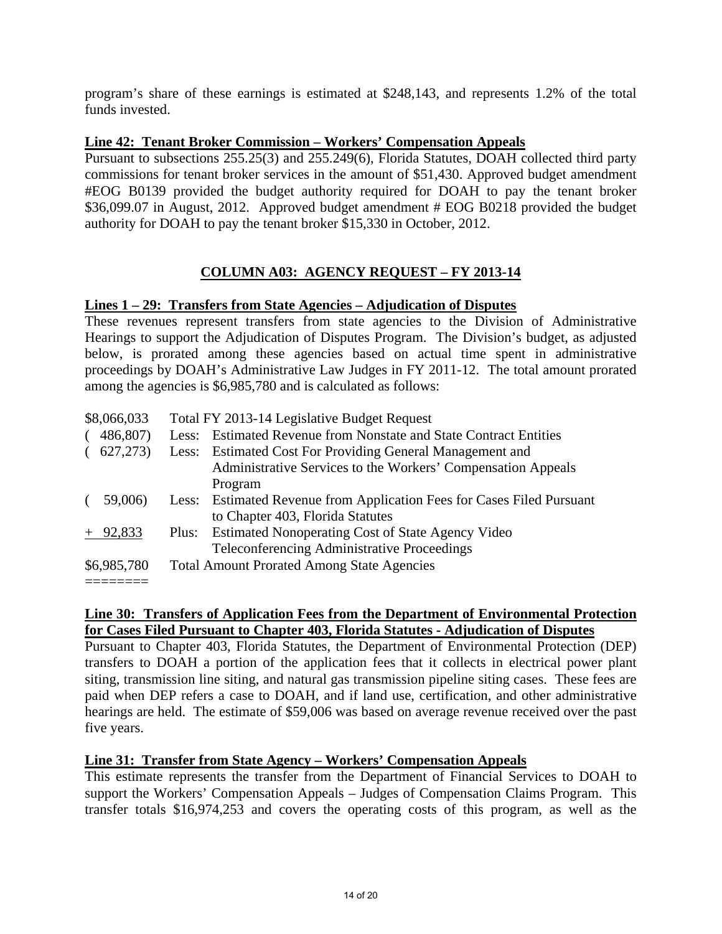program's share of these earnings is estimated at \$248,143, and represents 1.2% of the total funds invested.

#### **Line 42: Tenant Broker Commission – Workers' Compensation Appeals**

Pursuant to subsections 255.25(3) and 255.249(6), Florida Statutes, DOAH collected third party commissions for tenant broker services in the amount of \$51,430. Approved budget amendment #EOG B0139 provided the budget authority required for DOAH to pay the tenant broker \$36,099.07 in August, 2012. Approved budget amendment # EOG B0218 provided the budget authority for DOAH to pay the tenant broker \$15,330 in October, 2012.

## **COLUMN A03: AGENCY REQUEST – FY 2013-14**

#### **Lines 1 – 29: Transfers from State Agencies – Adjudication of Disputes**

These revenues represent transfers from state agencies to the Division of Administrative Hearings to support the Adjudication of Disputes Program. The Division's budget, as adjusted below, is prorated among these agencies based on actual time spent in administrative proceedings by DOAH's Administrative Law Judges in FY 2011-12. The total amount prorated among the agencies is \$6,985,780 and is calculated as follows:

| \$8,066,033 | Total FY 2013-14 Legislative Budget Request                            |
|-------------|------------------------------------------------------------------------|
| 486,807)    | Less: Estimated Revenue from Nonstate and State Contract Entities      |
| 627,273)    | Less: Estimated Cost For Providing General Management and              |
|             | Administrative Services to the Workers' Compensation Appeals           |
|             | Program                                                                |
| 59,006)     | Less: Estimated Revenue from Application Fees for Cases Filed Pursuant |
|             | to Chapter 403, Florida Statutes                                       |
| $+$ 92,833  | <b>Estimated Nonoperating Cost of State Agency Video</b><br>Plus:      |
|             | Teleconferencing Administrative Proceedings                            |
| \$6,985,780 | <b>Total Amount Prorated Among State Agencies</b>                      |
|             |                                                                        |

#### **Line 30: Transfers of Application Fees from the Department of Environmental Protection for Cases Filed Pursuant to Chapter 403, Florida Statutes - Adjudication of Disputes**

Pursuant to Chapter 403, Florida Statutes, the Department of Environmental Protection (DEP) transfers to DOAH a portion of the application fees that it collects in electrical power plant siting, transmission line siting, and natural gas transmission pipeline siting cases. These fees are paid when DEP refers a case to DOAH, and if land use, certification, and other administrative hearings are held. The estimate of \$59,006 was based on average revenue received over the past five years.

#### **Line 31: Transfer from State Agency – Workers' Compensation Appeals**

This estimate represents the transfer from the Department of Financial Services to DOAH to support the Workers' Compensation Appeals – Judges of Compensation Claims Program. This transfer totals \$16,974,253 and covers the operating costs of this program, as well as the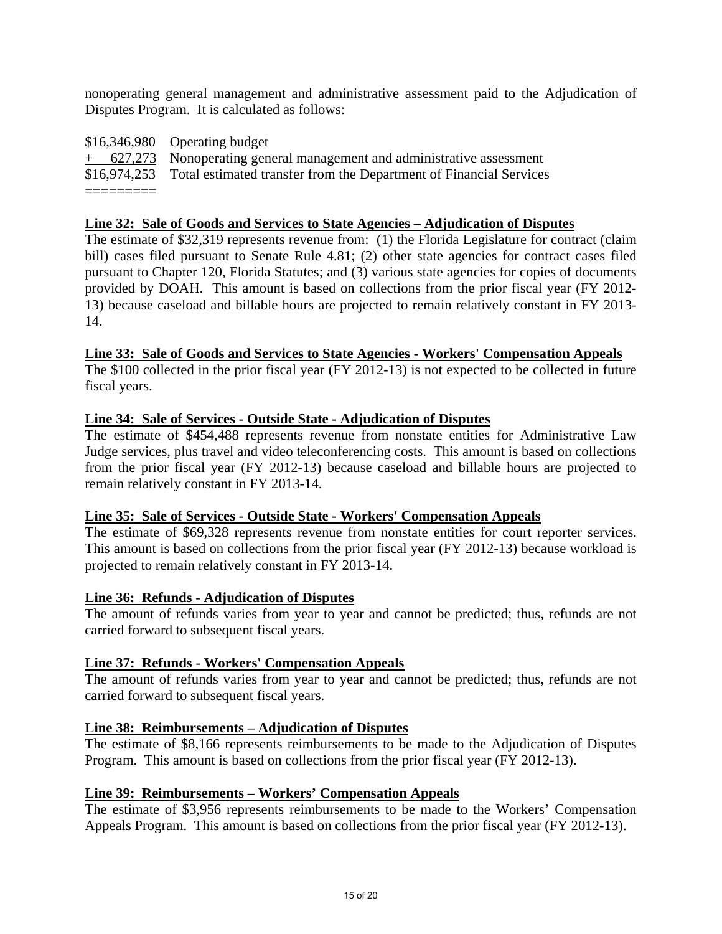nonoperating general management and administrative assessment paid to the Adjudication of Disputes Program. It is calculated as follows:

| \$16,346,980 Operating budget                                                   |
|---------------------------------------------------------------------------------|
| $+$ 627,273 Nonoperating general management and administrative assessment       |
| \$16,974,253 Total estimated transfer from the Department of Financial Services |
|                                                                                 |

#### **Line 32: Sale of Goods and Services to State Agencies – Adjudication of Disputes**

The estimate of \$32,319 represents revenue from: (1) the Florida Legislature for contract (claim bill) cases filed pursuant to Senate Rule 4.81; (2) other state agencies for contract cases filed pursuant to Chapter 120, Florida Statutes; and (3) various state agencies for copies of documents provided by DOAH. This amount is based on collections from the prior fiscal year (FY 2012- 13) because caseload and billable hours are projected to remain relatively constant in FY 2013- 14.

#### **Line 33: Sale of Goods and Services to State Agencies - Workers' Compensation Appeals**

The \$100 collected in the prior fiscal year (FY 2012-13) is not expected to be collected in future fiscal years.

#### **Line 34: Sale of Services - Outside State - Adjudication of Disputes**

The estimate of \$454,488 represents revenue from nonstate entities for Administrative Law Judge services, plus travel and video teleconferencing costs. This amount is based on collections from the prior fiscal year (FY 2012-13) because caseload and billable hours are projected to remain relatively constant in FY 2013-14.

#### **Line 35: Sale of Services - Outside State - Workers' Compensation Appeals**

The estimate of \$69,328 represents revenue from nonstate entities for court reporter services. This amount is based on collections from the prior fiscal year (FY 2012-13) because workload is projected to remain relatively constant in FY 2013-14.

#### **Line 36: Refunds - Adjudication of Disputes**

The amount of refunds varies from year to year and cannot be predicted; thus, refunds are not carried forward to subsequent fiscal years.

#### **Line 37: Refunds - Workers' Compensation Appeals**

The amount of refunds varies from year to year and cannot be predicted; thus, refunds are not carried forward to subsequent fiscal years.

#### **Line 38: Reimbursements – Adjudication of Disputes**

The estimate of \$8,166 represents reimbursements to be made to the Adjudication of Disputes Program. This amount is based on collections from the prior fiscal year (FY 2012-13).

#### **Line 39: Reimbursements – Workers' Compensation Appeals**

The estimate of \$3,956 represents reimbursements to be made to the Workers' Compensation Appeals Program. This amount is based on collections from the prior fiscal year (FY 2012-13).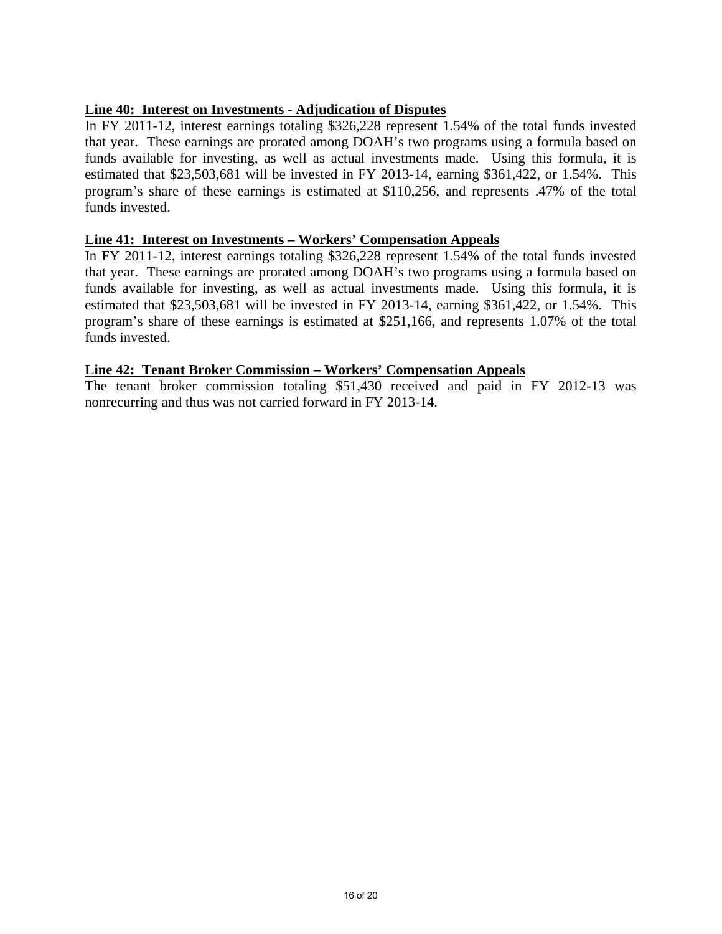## **Line 40: Interest on Investments - Adjudication of Disputes**

In FY 2011-12, interest earnings totaling \$326,228 represent 1.54% of the total funds invested that year. These earnings are prorated among DOAH's two programs using a formula based on funds available for investing, as well as actual investments made. Using this formula, it is estimated that \$23,503,681 will be invested in FY 2013-14, earning \$361,422, or 1.54%. This program's share of these earnings is estimated at \$110,256, and represents .47% of the total funds invested.

#### **Line 41: Interest on Investments – Workers' Compensation Appeals**

In FY 2011-12, interest earnings totaling \$326,228 represent 1.54% of the total funds invested that year. These earnings are prorated among DOAH's two programs using a formula based on funds available for investing, as well as actual investments made. Using this formula, it is estimated that \$23,503,681 will be invested in FY 2013-14, earning \$361,422, or 1.54%. This program's share of these earnings is estimated at \$251,166, and represents 1.07% of the total funds invested.

#### **Line 42: Tenant Broker Commission – Workers' Compensation Appeals**

The tenant broker commission totaling \$51,430 received and paid in FY 2012-13 was nonrecurring and thus was not carried forward in FY 2013-14.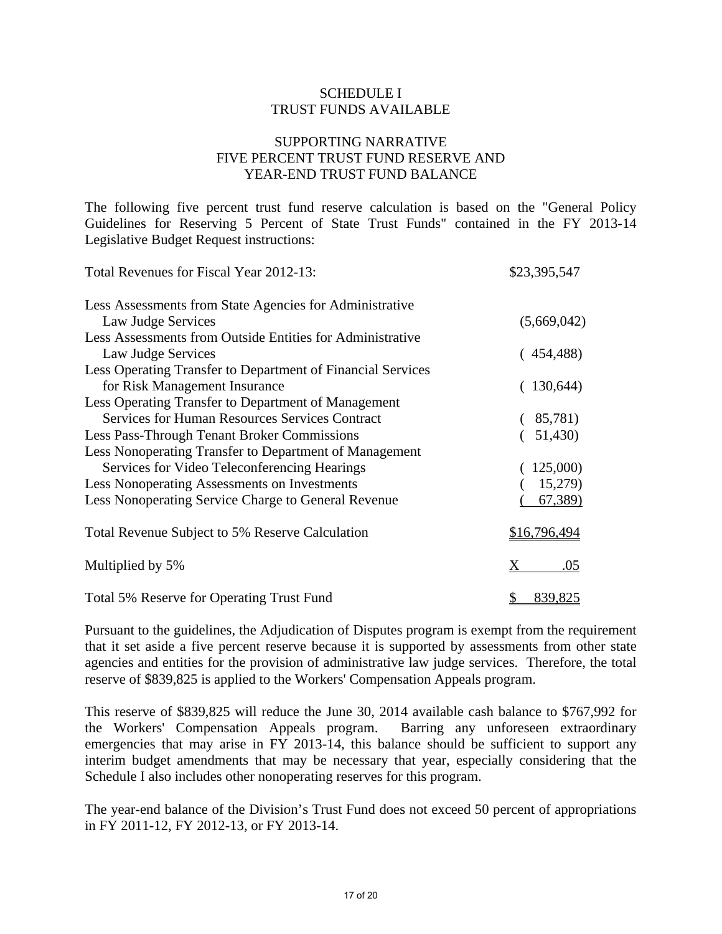#### SUPPORTING NARRATIVE FIVE PERCENT TRUST FUND RESERVE AND YEAR-END TRUST FUND BALANCE

The following five percent trust fund reserve calculation is based on the "General Policy Guidelines for Reserving 5 Percent of State Trust Funds" contained in the FY 2013-14 Legislative Budget Request instructions:

| Total Revenues for Fiscal Year 2012-13:                     | \$23,395,547  |
|-------------------------------------------------------------|---------------|
| Less Assessments from State Agencies for Administrative     |               |
| Law Judge Services                                          | (5,669,042)   |
| Less Assessments from Outside Entities for Administrative   |               |
| Law Judge Services                                          | (454, 488)    |
| Less Operating Transfer to Department of Financial Services |               |
| for Risk Management Insurance                               | (130,644)     |
| Less Operating Transfer to Department of Management         |               |
| <b>Services for Human Resources Services Contract</b>       | (85,781)      |
| <b>Less Pass-Through Tenant Broker Commissions</b>          | (51,430)      |
| Less Nonoperating Transfer to Department of Management      |               |
| Services for Video Teleconferencing Hearings                | (125,000)     |
| Less Nonoperating Assessments on Investments                | 15,279)       |
| Less Nonoperating Service Charge to General Revenue         | 67,389)       |
| Total Revenue Subject to 5% Reserve Calculation             | \$16,796,494  |
| Multiplied by 5%                                            | X.<br>.05     |
| Total 5% Reserve for Operating Trust Fund                   | 839,825<br>\$ |

Pursuant to the guidelines, the Adjudication of Disputes program is exempt from the requirement that it set aside a five percent reserve because it is supported by assessments from other state agencies and entities for the provision of administrative law judge services. Therefore, the total reserve of \$839,825 is applied to the Workers' Compensation Appeals program.

This reserve of \$839,825 will reduce the June 30, 2014 available cash balance to \$767,992 for the Workers' Compensation Appeals program. Barring any unforeseen extraordinary emergencies that may arise in FY 2013-14, this balance should be sufficient to support any interim budget amendments that may be necessary that year, especially considering that the Schedule I also includes other nonoperating reserves for this program.

The year-end balance of the Division's Trust Fund does not exceed 50 percent of appropriations in FY 2011-12, FY 2012-13, or FY 2013-14.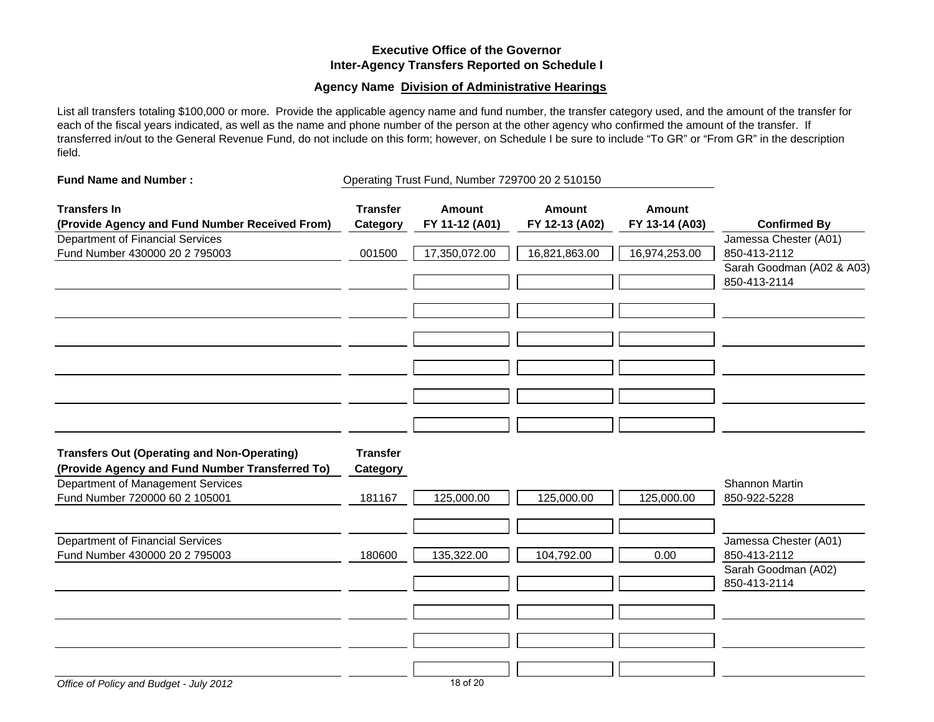#### **Executive Office of the GovernorInter-Agency Transfers Reported on Schedule I**

#### **Agency Name Division of Administrative Hearings**

List all transfers totaling \$100,000 or more. Provide the applicable agency name and fund number, the transfer category used, and the amount of the transfer for each of the fiscal years indicated, as well as the name and phone number of the person at the other agency who confirmed the amount of the transfer. If transferred in/out to the General Revenue Fund, do not include on this form; however, on Schedule I be sure to include "To GR" or "From GR" in the description field.

| <b>Fund Name and Number:</b>                                                                                                                                                 |                                              | Operating Trust Fund, Number 729700 20 2 510150 |                                 |                                 |                                                                                                           |  |
|------------------------------------------------------------------------------------------------------------------------------------------------------------------------------|----------------------------------------------|-------------------------------------------------|---------------------------------|---------------------------------|-----------------------------------------------------------------------------------------------------------|--|
| <b>Transfers In</b><br>(Provide Agency and Fund Number Received From)                                                                                                        | <b>Transfer</b><br>Category                  | <b>Amount</b><br>FY 11-12 (A01)                 | <b>Amount</b><br>FY 12-13 (A02) | <b>Amount</b><br>FY 13-14 (A03) | <b>Confirmed By</b><br>Jamessa Chester (A01)<br>850-413-2112<br>Sarah Goodman (A02 & A03)<br>850-413-2114 |  |
| <b>Department of Financial Services</b><br>Fund Number 430000 20 2 795003                                                                                                    | 001500                                       | 17,350,072.00                                   | 16,821,863.00                   | 16,974,253.00                   |                                                                                                           |  |
| <b>Transfers Out (Operating and Non-Operating)</b><br>(Provide Agency and Fund Number Transferred To)<br>Department of Management Services<br>Fund Number 720000 60 2 105001 | <b>Transfer</b><br><b>Category</b><br>181167 | 125,000.00                                      | 125,000.00                      | 125,000.00                      | Shannon Martin<br>850-922-5228                                                                            |  |
| <b>Department of Financial Services</b><br>Fund Number 430000 20 2 795003                                                                                                    | 180600                                       | 135,322.00                                      | 104,792.00                      | 0.00                            | Jamessa Chester (A01)<br>850-413-2112<br>Sarah Goodman (A02)<br>850-413-2114                              |  |
|                                                                                                                                                                              |                                              |                                                 |                                 |                                 |                                                                                                           |  |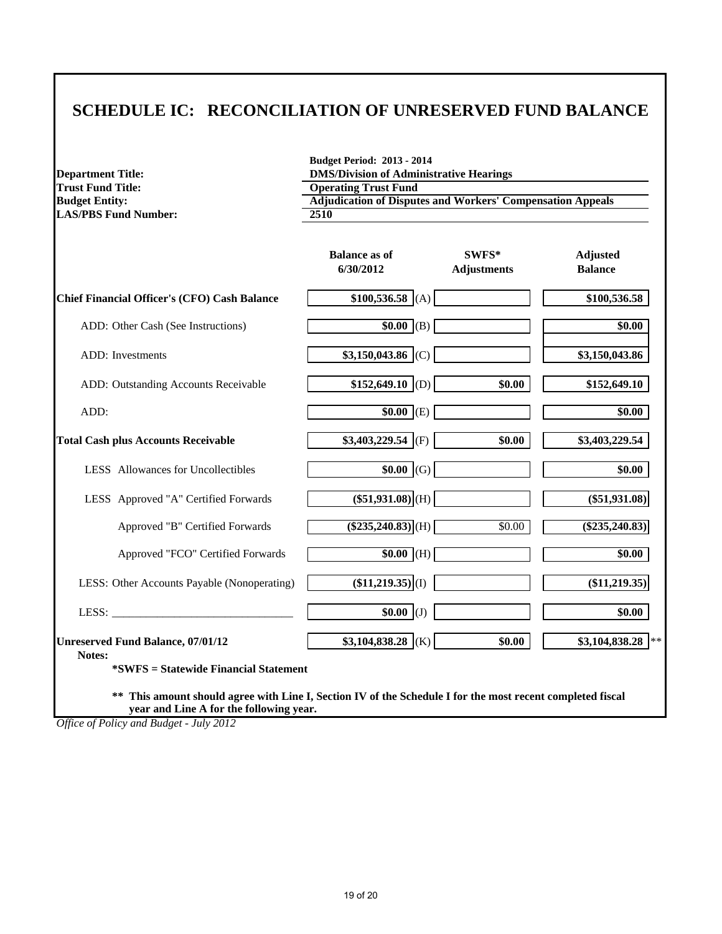## **SCHEDULE IC: RECONCILIATION OF UNRESERVED FUND BALANCE**

| <b>Trust Fund Title:</b>                            | <b>Operating Trust Fund</b><br><b>Adjudication of Disputes and Workers' Compensation Appeals</b><br>2510 |                             |                                   |
|-----------------------------------------------------|----------------------------------------------------------------------------------------------------------|-----------------------------|-----------------------------------|
| <b>Budget Entity:</b>                               |                                                                                                          |                             |                                   |
| <b>LAS/PBS Fund Number:</b>                         |                                                                                                          |                             |                                   |
|                                                     | <b>Balance as of</b><br>6/30/2012                                                                        | SWFS*<br><b>Adjustments</b> | <b>Adjusted</b><br><b>Balance</b> |
| <b>Chief Financial Officer's (CFO) Cash Balance</b> | $$100,536.58$ (A)                                                                                        |                             | \$100,536.58                      |
| ADD: Other Cash (See Instructions)                  | $$0.00$ (B)                                                                                              |                             | \$0.00                            |
| ADD: Investments                                    | $$3,150,043.86$ (C)                                                                                      |                             | \$3,150,043.86                    |
| ADD: Outstanding Accounts Receivable                | \$152,649.10   (D)                                                                                       | \$0.00                      | \$152,649.10                      |
| ADD:                                                | $$0.00$ (E)                                                                                              |                             | \$0.00                            |
| <b>Total Cash plus Accounts Receivable</b>          | $$3,403,229.54$ (F)                                                                                      | \$0.00                      | \$3,403,229.54                    |
| LESS Allowances for Uncollectibles                  | $$0.00$ (G)                                                                                              |                             | \$0.00                            |
| LESS Approved "A" Certified Forwards                | $(\$51,931.08)$ <sub>(H)</sub>                                                                           |                             | $(\$51,931.08)$                   |
| Approved "B" Certified Forwards                     | $($ \$235,240.83 $)$ (H)                                                                                 | \$0.00                      | $(\$235,240.83)$                  |
| Approved "FCO" Certified Forwards                   | $$0.00$ (H)                                                                                              |                             | \$0.00                            |
| LESS: Other Accounts Payable (Nonoperating)         | $(\$11,219.35)\vert (I)$                                                                                 |                             | $(\$11,219.35)$                   |
| LESS:                                               | $$0.00$ (J)                                                                                              |                             | \$0.00                            |
| <b>Unreserved Fund Balance, 07/01/12</b><br>Notes:  | $$3,104,838.28$ (K)                                                                                      | \$0.00                      | \$3,104,838.28                    |
| <i>*SWFS</i> = Statewide Financial Statement        |                                                                                                          |                             |                                   |

*Office of Policy and Budget - July 2012*